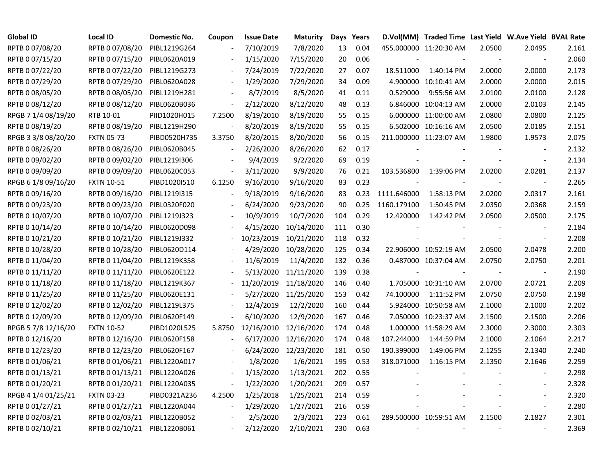| <b>Global ID</b>    | Local ID          | Domestic No. | Coupon                   | <b>Issue Date</b> | <b>Maturity</b> |     | Days Years |             | D.Vol(MM) Traded Time Last Yield W.Ave Yield BVAL Rate |                          |                          |       |
|---------------------|-------------------|--------------|--------------------------|-------------------|-----------------|-----|------------|-------------|--------------------------------------------------------|--------------------------|--------------------------|-------|
| RPTB 0 07/08/20     | RPTB 0 07/08/20   | PIBL1219G264 |                          | 7/10/2019         | 7/8/2020        | 13  | 0.04       |             | 455.000000 11:20:30 AM                                 | 2.0500                   | 2.0495                   | 2.161 |
| RPTB 0 07/15/20     | RPTB 0 07/15/20   | PIBL0620A019 |                          | 1/15/2020         | 7/15/2020       | 20  | 0.06       |             |                                                        |                          |                          | 2.060 |
| RPTB 0 07/22/20     | RPTB 0 07/22/20   | PIBL1219G273 |                          | 7/24/2019         | 7/22/2020       | 27  | 0.07       | 18.511000   | 1:40:14 PM                                             | 2.0000                   | 2.0000                   | 2.173 |
| RPTB 0 07/29/20     | RPTB 0 07/29/20   | PIBL0620A028 |                          | 1/29/2020         | 7/29/2020       | 34  | 0.09       |             | 4.900000 10:10:41 AM                                   | 2.0000                   | 2.0000                   | 2.015 |
| RPTB 0 08/05/20     | RPTB 0 08/05/20   | PIBL1219H281 | $\blacksquare$           | 8/7/2019          | 8/5/2020        | 41  | 0.11       | 0.529000    | 9:55:56 AM                                             | 2.0100                   | 2.0100                   | 2.128 |
| RPTB 0 08/12/20     | RPTB 0 08/12/20   | PIBL0620B036 | $\blacksquare$           | 2/12/2020         | 8/12/2020       | 48  | 0.13       |             | 6.846000 10:04:13 AM                                   | 2.0000                   | 2.0103                   | 2.145 |
| RPGB 7 1/4 08/19/20 | RTB 10-01         | PIID1020H015 | 7.2500                   | 8/19/2010         | 8/19/2020       | 55  | 0.15       |             | 6.000000 11:00:00 AM                                   | 2.0800                   | 2.0800                   | 2.125 |
| RPTB 0 08/19/20     | RPTB 0 08/19/20   | PIBL1219H290 |                          | 8/20/2019         | 8/19/2020       | 55  | 0.15       |             | 6.502000 10:16:16 AM                                   | 2.0500                   | 2.0185                   | 2.151 |
| RPGB 3 3/8 08/20/20 | <b>FXTN 05-73</b> | PIBD0520H735 | 3.3750                   | 8/20/2015         | 8/20/2020       | 56  | 0.15       |             | 211.000000 11:23:07 AM                                 | 1.9800                   | 1.9573                   | 2.075 |
| RPTB 0 08/26/20     | RPTB 0 08/26/20   | PIBL0620B045 | $\blacksquare$           | 2/26/2020         | 8/26/2020       | 62  | 0.17       |             |                                                        |                          | $\overline{\phantom{a}}$ | 2.132 |
| RPTB 0 09/02/20     | RPTB 0 09/02/20   | PIBL1219I306 |                          | 9/4/2019          | 9/2/2020        | 69  | 0.19       |             |                                                        |                          | $\blacksquare$           | 2.134 |
| RPTB 0 09/09/20     | RPTB 0 09/09/20   | PIBL0620C053 | $\overline{\phantom{a}}$ | 3/11/2020         | 9/9/2020        | 76  | 0.21       | 103.536800  | 1:39:06 PM                                             | 2.0200                   | 2.0281                   | 2.137 |
| RPGB 6 1/8 09/16/20 | <b>FXTN 10-51</b> | PIBD10201510 | 6.1250                   | 9/16/2010         | 9/16/2020       | 83  | 0.23       |             |                                                        |                          | $\sim$                   | 2.265 |
| RPTB 0 09/16/20     | RPTB 0 09/16/20   | PIBL1219I315 |                          | 9/18/2019         | 9/16/2020       | 83  | 0.23       | 1111.646000 | 1:58:13 PM                                             | 2.0200                   | 2.0317                   | 2.161 |
| RPTB 0 09/23/20     | RPTB 0 09/23/20   | PIBL0320F020 |                          | 6/24/2020         | 9/23/2020       | 90  | 0.25       | 1160.179100 | 1:50:45 PM                                             | 2.0350                   | 2.0368                   | 2.159 |
| RPTB 0 10/07/20     | RPTB 0 10/07/20   | PIBL1219J323 |                          | 10/9/2019         | 10/7/2020       | 104 | 0.29       | 12.420000   | 1:42:42 PM                                             | 2.0500                   | 2.0500                   | 2.175 |
| RPTB 0 10/14/20     | RPTB 0 10/14/20   | PIBL0620D098 |                          | 4/15/2020         | 10/14/2020      | 111 | 0.30       |             |                                                        |                          |                          | 2.184 |
| RPTB 0 10/21/20     | RPTB 0 10/21/20   | PIBL1219J332 |                          | 10/23/2019        | 10/21/2020      | 118 | 0.32       |             |                                                        |                          | $\overline{\phantom{a}}$ | 2.208 |
| RPTB 0 10/28/20     | RPTB 0 10/28/20   | PIBL0620D114 |                          | 4/29/2020         | 10/28/2020      | 125 | 0.34       |             | 22.906000 10:52:19 AM                                  | 2.0500                   | 2.0478                   | 2.200 |
| RPTB 0 11/04/20     | RPTB 0 11/04/20   | PIBL1219K358 |                          | 11/6/2019         | 11/4/2020       | 132 | 0.36       |             | 0.487000 10:37:04 AM                                   | 2.0750                   | 2.0750                   | 2.201 |
| RPTB 0 11/11/20     | RPTB 0 11/11/20   | PIBL0620E122 |                          | 5/13/2020         | 11/11/2020      | 139 | 0.38       |             |                                                        |                          | $\blacksquare$           | 2.190 |
| RPTB 0 11/18/20     | RPTB 0 11/18/20   | PIBL1219K367 |                          | 11/20/2019        | 11/18/2020      | 146 | 0.40       |             | 1.705000 10:31:10 AM                                   | 2.0700                   | 2.0721                   | 2.209 |
| RPTB 0 11/25/20     | RPTB 0 11/25/20   | PIBL0620E131 |                          | 5/27/2020         | 11/25/2020      | 153 | 0.42       | 74.100000   | 1:11:52 PM                                             | 2.0750                   | 2.0750                   | 2.198 |
| RPTB 0 12/02/20     | RPTB 0 12/02/20   | PIBL1219L375 |                          | 12/4/2019         | 12/2/2020       | 160 | 0.44       |             | 5.924000 10:50:58 AM                                   | 2.1000                   | 2.1000                   | 2.202 |
| RPTB 0 12/09/20     | RPTB 0 12/09/20   | PIBL0620F149 |                          | 6/10/2020         | 12/9/2020       | 167 | 0.46       |             | 7.050000 10:23:37 AM                                   | 2.1500                   | 2.1500                   | 2.206 |
| RPGB 5 7/8 12/16/20 | <b>FXTN 10-52</b> | PIBD1020L525 | 5.8750                   | 12/16/2010        | 12/16/2020      | 174 | 0.48       |             | 1.000000 11:58:29 AM                                   | 2.3000                   | 2.3000                   | 2.303 |
| RPTB 0 12/16/20     | RPTB 0 12/16/20   | PIBL0620F158 |                          | 6/17/2020         | 12/16/2020      | 174 | 0.48       | 107.244000  | 1:44:59 PM                                             | 2.1000                   | 2.1064                   | 2.217 |
| RPTB 0 12/23/20     | RPTB 0 12/23/20   | PIBL0620F167 |                          | 6/24/2020         | 12/23/2020      | 181 | 0.50       | 190.399000  | 1:49:06 PM                                             | 2.1255                   | 2.1340                   | 2.240 |
| RPTB 0 01/06/21     | RPTB 0 01/06/21   | PIBL1220A017 |                          | 1/8/2020          | 1/6/2021        | 195 | 0.53       | 318.071000  | 1:16:15 PM                                             | 2.1350                   | 2.1646                   | 2.259 |
| RPTB 0 01/13/21     | RPTB 0 01/13/21   | PIBL1220A026 | $\overline{\phantom{a}}$ | 1/15/2020         | 1/13/2021       | 202 | 0.55       |             |                                                        |                          |                          | 2.298 |
| RPTB 0 01/20/21     | RPTB 0 01/20/21   | PIBL1220A035 | $\overline{\phantom{a}}$ | 1/22/2020         | 1/20/2021       | 209 | 0.57       |             |                                                        |                          |                          | 2.328 |
| RPGB 4 1/4 01/25/21 | <b>FXTN 03-23</b> | PIBD0321A236 | 4.2500                   | 1/25/2018         | 1/25/2021       | 214 | 0.59       |             |                                                        |                          |                          | 2.320 |
| RPTB 0 01/27/21     | RPTB 0 01/27/21   | PIBL1220A044 | $\blacksquare$           | 1/29/2020         | 1/27/2021       | 216 | 0.59       |             |                                                        |                          | $\overline{\phantom{a}}$ | 2.280 |
| RPTB 0 02/03/21     | RPTB 0 02/03/21   | PIBL1220B052 |                          | 2/5/2020          | 2/3/2021        | 223 | 0.61       |             | 289.500000 10:59:51 AM                                 | 2.1500                   | 2.1827                   | 2.301 |
| RPTB 0 02/10/21     | RPTB 0 02/10/21   | PIBL1220B061 |                          | 2/12/2020         | 2/10/2021       | 230 | 0.63       |             |                                                        | $\overline{\phantom{a}}$ |                          | 2.369 |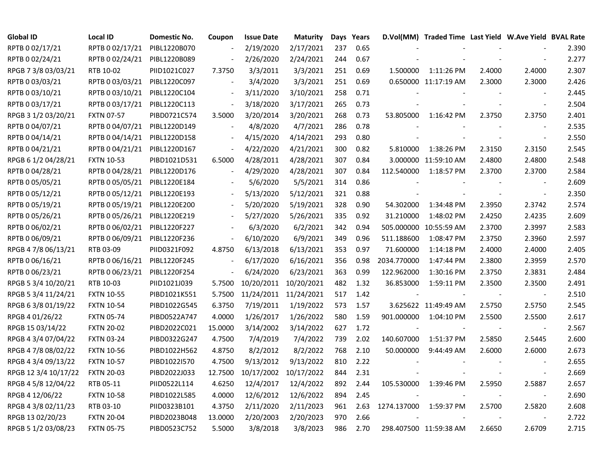| Global ID            | <b>Local ID</b>   | <b>Domestic No.</b> | Coupon                   | <b>Issue Date</b>     | <b>Maturity</b>       |     | Days Years |             | D.Vol(MM) Traded Time Last Yield W.Ave Yield BVAL Rate |        |                          |       |
|----------------------|-------------------|---------------------|--------------------------|-----------------------|-----------------------|-----|------------|-------------|--------------------------------------------------------|--------|--------------------------|-------|
| RPTB 0 02/17/21      | RPTB 0 02/17/21   | PIBL1220B070        |                          | 2/19/2020             | 2/17/2021             | 237 | 0.65       |             |                                                        |        |                          | 2.390 |
| RPTB 0 02/24/21      | RPTB 0 02/24/21   | PIBL1220B089        | $\overline{\phantom{a}}$ | 2/26/2020             | 2/24/2021             | 244 | 0.67       |             |                                                        |        |                          | 2.277 |
| RPGB 7 3/8 03/03/21  | RTB 10-02         | PIID1021C027        | 7.3750                   | 3/3/2011              | 3/3/2021              | 251 | 0.69       | 1.500000    | 1:11:26 PM                                             | 2.4000 | 2.4000                   | 2.307 |
| RPTB 0 03/03/21      | RPTB 0 03/03/21   | PIBL1220C097        |                          | 3/4/2020              | 3/3/2021              | 251 | 0.69       |             | 0.650000 11:17:19 AM                                   | 2.3000 | 2.3000                   | 2.426 |
| RPTB 0 03/10/21      | RPTB 0 03/10/21   | PIBL1220C104        | $\overline{\phantom{a}}$ | 3/11/2020             | 3/10/2021             | 258 | 0.71       |             |                                                        |        | $\sim$                   | 2.445 |
| RPTB 0 03/17/21      | RPTB 0 03/17/21   | PIBL1220C113        | $\overline{\phantom{a}}$ | 3/18/2020             | 3/17/2021             | 265 | 0.73       |             |                                                        |        | $\blacksquare$           | 2.504 |
| RPGB 3 1/2 03/20/21  | <b>FXTN 07-57</b> | PIBD0721C574        | 3.5000                   | 3/20/2014             | 3/20/2021             | 268 | 0.73       | 53.805000   | 1:16:42 PM                                             | 2.3750 | 2.3750                   | 2.401 |
| RPTB 0 04/07/21      | RPTB 0 04/07/21   | PIBL1220D149        | $\blacksquare$           | 4/8/2020              | 4/7/2021              | 286 | 0.78       |             |                                                        |        |                          | 2.535 |
| RPTB 0 04/14/21      | RPTB 0 04/14/21   | PIBL1220D158        |                          | 4/15/2020             | 4/14/2021             | 293 | 0.80       |             |                                                        |        | $\sim$                   | 2.550 |
| RPTB 0 04/21/21      | RPTB 0 04/21/21   | PIBL1220D167        |                          | 4/22/2020             | 4/21/2021             | 300 | 0.82       | 5.810000    | 1:38:26 PM                                             | 2.3150 | 2.3150                   | 2.545 |
| RPGB 6 1/2 04/28/21  | <b>FXTN 10-53</b> | PIBD1021D531        | 6.5000                   | 4/28/2011             | 4/28/2021             | 307 | 0.84       |             | 3.000000 11:59:10 AM                                   | 2.4800 | 2.4800                   | 2.548 |
| RPTB 0 04/28/21      | RPTB 0 04/28/21   | PIBL1220D176        | $\overline{\phantom{a}}$ | 4/29/2020             | 4/28/2021             | 307 | 0.84       | 112.540000  | 1:18:57 PM                                             | 2.3700 | 2.3700                   | 2.584 |
| RPTB 0 05/05/21      | RPTB 0 05/05/21   | PIBL1220E184        |                          | 5/6/2020              | 5/5/2021              | 314 | 0.86       |             |                                                        |        | $\sim$                   | 2.609 |
| RPTB 0 05/12/21      | RPTB 0 05/12/21   | PIBL1220E193        |                          | 5/13/2020             | 5/12/2021             | 321 | 0.88       |             |                                                        |        | $\overline{\phantom{a}}$ | 2.350 |
| RPTB 0 05/19/21      | RPTB 0 05/19/21   | PIBL1220E200        |                          | 5/20/2020             | 5/19/2021             | 328 | 0.90       | 54.302000   | 1:34:48 PM                                             | 2.3950 | 2.3742                   | 2.574 |
| RPTB 0 05/26/21      | RPTB 0 05/26/21   | PIBL1220E219        |                          | 5/27/2020             | 5/26/2021             | 335 | 0.92       | 31.210000   | 1:48:02 PM                                             | 2.4250 | 2.4235                   | 2.609 |
| RPTB 0 06/02/21      | RPTB 0 06/02/21   | PIBL1220F227        |                          | 6/3/2020              | 6/2/2021              | 342 | 0.94       |             | 505.000000 10:55:59 AM                                 | 2.3700 | 2.3997                   | 2.583 |
| RPTB 0 06/09/21      | RPTB 0 06/09/21   | PIBL1220F236        | $\overline{\phantom{a}}$ | 6/10/2020             | 6/9/2021              | 349 | 0.96       | 511.188600  | 1:08:47 PM                                             | 2.3750 | 2.3960                   | 2.597 |
| RPGB 4 7/8 06/13/21  | RTB 03-09         | PIID0321F092        | 4.8750                   | 6/13/2018             | 6/13/2021             | 353 | 0.97       | 71.600000   | 1:14:18 PM                                             | 2.4000 | 2.4000                   | 2.405 |
| RPTB 0 06/16/21      | RPTB 0 06/16/21   | PIBL1220F245        | $\overline{\phantom{a}}$ | 6/17/2020             | 6/16/2021             | 356 | 0.98       | 2034.770000 | 1:47:44 PM                                             | 2.3800 | 2.3959                   | 2.570 |
| RPTB 0 06/23/21      | RPTB 0 06/23/21   | PIBL1220F254        | $\blacksquare$           | 6/24/2020             | 6/23/2021             | 363 | 0.99       | 122.962000  | 1:30:16 PM                                             | 2.3750 | 2.3831                   | 2.484 |
| RPGB 5 3/4 10/20/21  | RTB 10-03         | PIID1021J039        | 5.7500                   | 10/20/2011            | 10/20/2021            | 482 | 1.32       | 36.853000   | 1:59:11 PM                                             | 2.3500 | 2.3500                   | 2.491 |
| RPGB 5 3/4 11/24/21  | <b>FXTN 10-55</b> | PIBD1021K551        | 5.7500                   | 11/24/2011 11/24/2021 |                       | 517 | 1.42       |             |                                                        |        | $\blacksquare$           | 2.510 |
| RPGB 63/8 01/19/22   | <b>FXTN 10-54</b> | PIBD1022G545        | 6.3750                   | 7/19/2011             | 1/19/2022             | 573 | 1.57       |             | 3.625622 11:49:49 AM                                   | 2.5750 | 2.5750                   | 2.545 |
| RPGB 4 01/26/22      | <b>FXTN 05-74</b> | PIBD0522A747        | 4.0000                   | 1/26/2017             | 1/26/2022             | 580 | 1.59       | 901.000000  | 1:04:10 PM                                             | 2.5500 | 2.5500                   | 2.617 |
| RPGB 15 03/14/22     | <b>FXTN 20-02</b> | PIBD2022C021        | 15.0000                  | 3/14/2002             | 3/14/2022             | 627 | 1.72       |             |                                                        |        | $\overline{\phantom{a}}$ | 2.567 |
| RPGB 4 3/4 07/04/22  | <b>FXTN 03-24</b> | PIBD0322G247        | 4.7500                   | 7/4/2019              | 7/4/2022              | 739 | 2.02       | 140.607000  | 1:51:37 PM                                             | 2.5850 | 2.5445                   | 2.600 |
| RPGB 4 7/8 08/02/22  | <b>FXTN 10-56</b> | PIBD1022H562        | 4.8750                   | 8/2/2012              | 8/2/2022              | 768 | 2.10       | 50.000000   | 9:44:49 AM                                             | 2.6000 | 2.6000                   | 2.673 |
| RPGB 4 3/4 09/13/22  | <b>FXTN 10-57</b> | PIBD1022I570        | 4.7500                   | 9/13/2012             | 9/13/2022             | 810 | 2.22       |             |                                                        |        |                          | 2.655 |
| RPGB 12 3/4 10/17/22 | <b>FXTN 20-03</b> | PIBD2022J033        | 12.7500                  |                       | 10/17/2002 10/17/2022 | 844 | 2.31       |             |                                                        |        | $\overline{\phantom{a}}$ | 2.669 |
| RPGB 4 5/8 12/04/22  | RTB 05-11         | PIID0522L114        | 4.6250                   | 12/4/2017             | 12/4/2022             | 892 | 2.44       | 105.530000  | 1:39:46 PM                                             | 2.5950 | 2.5887                   | 2.657 |
| RPGB 4 12/06/22      | <b>FXTN 10-58</b> | PIBD1022L585        | 4.0000                   | 12/6/2012             | 12/6/2022             | 894 | 2.45       |             |                                                        |        | $\sim$                   | 2.690 |
| RPGB 4 3/8 02/11/23  | RTB 03-10         | PIID0323B101        | 4.3750                   | 2/11/2020             | 2/11/2023             | 961 | 2.63       | 1274.137000 | 1:59:37 PM                                             | 2.5700 | 2.5820                   | 2.608 |
| RPGB 13 02/20/23     | <b>FXTN 20-04</b> | PIBD2023B048        | 13.0000                  | 2/20/2003             | 2/20/2023             | 970 | 2.66       |             |                                                        |        | $\overline{\phantom{a}}$ | 2.722 |
| RPGB 5 1/2 03/08/23  | <b>FXTN 05-75</b> | PIBD0523C752        | 5.5000                   | 3/8/2018              | 3/8/2023              | 986 | 2.70       |             | 298.407500 11:59:38 AM                                 | 2.6650 | 2.6709                   | 2.715 |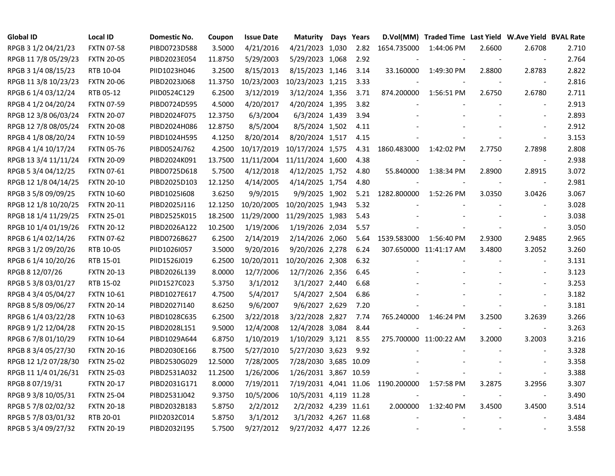| <b>Global ID</b>     | <b>Local ID</b>   | Domestic No. | Coupon  | <b>Issue Date</b> | <b>Maturity</b>       | Days Years |             | D.Vol(MM) Traded Time Last Yield W.Ave Yield BVAL Rate |                |                          |       |
|----------------------|-------------------|--------------|---------|-------------------|-----------------------|------------|-------------|--------------------------------------------------------|----------------|--------------------------|-------|
| RPGB 3 1/2 04/21/23  | <b>FXTN 07-58</b> | PIBD0723D588 | 3.5000  | 4/21/2016         | 4/21/2023 1,030       | 2.82       | 1654.735000 | 1:44:06 PM                                             | 2.6600         | 2.6708                   | 2.710 |
| RPGB 11 7/8 05/29/23 | <b>FXTN 20-05</b> | PIBD2023E054 | 11.8750 | 5/29/2003         | 5/29/2023 1,068       | 2.92       |             |                                                        |                | $\overline{\phantom{a}}$ | 2.764 |
| RPGB 3 1/4 08/15/23  | RTB 10-04         | PIID1023H046 | 3.2500  | 8/15/2013         | 8/15/2023 1,146       | 3.14       | 33.160000   | 1:49:30 PM                                             | 2.8800         | 2.8783                   | 2.822 |
| RPGB 11 3/8 10/23/23 | <b>FXTN 20-06</b> | PIBD2023J068 | 11.3750 | 10/23/2003        | 10/23/2023 1,215      | 3.33       |             |                                                        |                | $\overline{\phantom{a}}$ | 2.816 |
| RPGB 6 1/4 03/12/24  | RTB 05-12         | PIID0524C129 | 6.2500  | 3/12/2019         | 3/12/2024 1,356       | 3.71       | 874.200000  | 1:56:51 PM                                             | 2.6750         | 2.6780                   | 2.711 |
| RPGB 4 1/2 04/20/24  | <b>FXTN 07-59</b> | PIBD0724D595 | 4.5000  | 4/20/2017         | 4/20/2024 1,395       | 3.82       |             |                                                        |                | $\overline{\phantom{a}}$ | 2.913 |
| RPGB 12 3/8 06/03/24 | <b>FXTN 20-07</b> | PIBD2024F075 | 12.3750 | 6/3/2004          | 6/3/2024 1,439        | 3.94       |             |                                                        |                | $\blacksquare$           | 2.893 |
| RPGB 12 7/8 08/05/24 | <b>FXTN 20-08</b> | PIBD2024H086 | 12.8750 | 8/5/2004          | 8/5/2024 1,502        | 4.11       |             |                                                        |                | $\overline{\phantom{a}}$ | 2.912 |
| RPGB 4 1/8 08/20/24  | <b>FXTN 10-59</b> | PIBD1024H595 | 4.1250  | 8/20/2014         | 8/20/2024 1,517       | 4.15       |             |                                                        |                | $\overline{\phantom{a}}$ | 3.153 |
| RPGB 4 1/4 10/17/24  | <b>FXTN 05-76</b> | PIBD0524J762 | 4.2500  | 10/17/2019        | 10/17/2024 1,575      | 4.31       | 1860.483000 | 1:42:02 PM                                             | 2.7750         | 2.7898                   | 2.808 |
| RPGB 13 3/4 11/11/24 | <b>FXTN 20-09</b> | PIBD2024K091 | 13.7500 | 11/11/2004        | 11/11/2024 1,600      | 4.38       |             |                                                        |                | $\blacksquare$           | 2.938 |
| RPGB 5 3/4 04/12/25  | <b>FXTN 07-61</b> | PIBD0725D618 | 5.7500  | 4/12/2018         | 4/12/2025 1,752       | 4.80       | 55.840000   | 1:38:34 PM                                             | 2.8900         | 2.8915                   | 3.072 |
| RPGB 12 1/8 04/14/25 | <b>FXTN 20-10</b> | PIBD2025D103 | 12.1250 | 4/14/2005         | 4/14/2025 1,754       | 4.80       |             |                                                        |                | $\overline{\phantom{a}}$ | 2.981 |
| RPGB 3 5/8 09/09/25  | <b>FXTN 10-60</b> | PIBD1025I608 | 3.6250  | 9/9/2015          | 9/9/2025 1,902        | 5.21       | 1282.800000 | 1:52:26 PM                                             | 3.0350         | 3.0426                   | 3.067 |
| RPGB 12 1/8 10/20/25 | <b>FXTN 20-11</b> | PIBD2025J116 | 12.1250 | 10/20/2005        | 10/20/2025 1,943      | 5.32       |             |                                                        |                |                          | 3.028 |
| RPGB 18 1/4 11/29/25 | <b>FXTN 25-01</b> | PIBD2525K015 | 18.2500 | 11/29/2000        | 11/29/2025 1,983      | 5.43       |             |                                                        |                |                          | 3.038 |
| RPGB 10 1/4 01/19/26 | <b>FXTN 20-12</b> | PIBD2026A122 | 10.2500 | 1/19/2006         | 1/19/2026 2,034       | 5.57       |             |                                                        |                |                          | 3.050 |
| RPGB 6 1/4 02/14/26  | <b>FXTN 07-62</b> | PIBD0726B627 | 6.2500  | 2/14/2019         | 2/14/2026 2,060       | 5.64       | 1539.583000 | 1:56:40 PM                                             | 2.9300         | 2.9485                   | 2.965 |
| RPGB 3 1/2 09/20/26  | RTB 10-05         | PIID1026I057 | 3.5000  | 9/20/2016         | 9/20/2026 2,278       | 6.24       |             | 307.650000 11:41:17 AM                                 | 3.4800         | 3.2052                   | 3.260 |
| RPGB 6 1/4 10/20/26  | RTB 15-01         | PIID1526J019 | 6.2500  | 10/20/2011        | 10/20/2026 2,308      | 6.32       |             |                                                        |                | $\blacksquare$           | 3.131 |
| RPGB 8 12/07/26      | <b>FXTN 20-13</b> | PIBD2026L139 | 8.0000  | 12/7/2006         | 12/7/2026 2,356       | 6.45       |             |                                                        |                | $\sim$                   | 3.123 |
| RPGB 5 3/8 03/01/27  | RTB 15-02         | PIID1527C023 | 5.3750  | 3/1/2012          | 3/1/2027 2,440        | 6.68       |             |                                                        |                | $\overline{\phantom{a}}$ | 3.253 |
| RPGB 4 3/4 05/04/27  | <b>FXTN 10-61</b> | PIBD1027E617 | 4.7500  | 5/4/2017          | 5/4/2027 2,504        | 6.86       |             |                                                        |                | $\overline{\phantom{a}}$ | 3.182 |
| RPGB 8 5/8 09/06/27  | <b>FXTN 20-14</b> | PIBD2027I140 | 8.6250  | 9/6/2007          | 9/6/2027 2,629        | 7.20       |             |                                                        |                | $\blacksquare$           | 3.181 |
| RPGB 6 1/4 03/22/28  | <b>FXTN 10-63</b> | PIBD1028C635 | 6.2500  | 3/22/2018         | 3/22/2028 2,827       | 7.74       | 765.240000  | 1:46:24 PM                                             | 3.2500         | 3.2639                   | 3.266 |
| RPGB 9 1/2 12/04/28  | <b>FXTN 20-15</b> | PIBD2028L151 | 9.5000  | 12/4/2008         | 12/4/2028 3,084       | 8.44       |             |                                                        |                | $\blacksquare$           | 3.263 |
| RPGB 6 7/8 01/10/29  | <b>FXTN 10-64</b> | PIBD1029A644 | 6.8750  | 1/10/2019         | 1/10/2029 3,121       | 8.55       |             | 275.700000 11:00:22 AM                                 | 3.2000         | 3.2003                   | 3.216 |
| RPGB 8 3/4 05/27/30  | <b>FXTN 20-16</b> | PIBD2030E166 | 8.7500  | 5/27/2010         | 5/27/2030 3,623       | 9.92       |             |                                                        |                |                          | 3.328 |
| RPGB 12 1/2 07/28/30 | <b>FXTN 25-02</b> | PIBD2530G029 | 12.5000 | 7/28/2005         | 7/28/2030 3,685 10.09 |            |             |                                                        |                | $\overline{a}$           | 3.358 |
| RPGB 11 1/4 01/26/31 | <b>FXTN 25-03</b> | PIBD2531A032 | 11.2500 | 1/26/2006         | 1/26/2031 3,867 10.59 |            |             |                                                        |                | $\sim$                   | 3.388 |
| RPGB 8 07/19/31      | <b>FXTN 20-17</b> | PIBD2031G171 | 8.0000  | 7/19/2011         | 7/19/2031 4,041 11.06 |            | 1190.200000 | 1:57:58 PM                                             | 3.2875         | 3.2956                   | 3.307 |
| RPGB 9 3/8 10/05/31  | <b>FXTN 25-04</b> | PIBD2531J042 | 9.3750  | 10/5/2006         | 10/5/2031 4,119 11.28 |            |             |                                                        | $\blacksquare$ | $\sim$                   | 3.490 |
| RPGB 5 7/8 02/02/32  | <b>FXTN 20-18</b> | PIBD2032B183 | 5.8750  | 2/2/2012          | 2/2/2032 4,239 11.61  |            | 2.000000    | 1:32:40 PM                                             | 3.4500         | 3.4500                   | 3.514 |
| RPGB 5 7/8 03/01/32  | RTB 20-01         | PIID2032C014 | 5.8750  | 3/1/2012          | 3/1/2032 4,267 11.68  |            |             |                                                        |                |                          | 3.484 |
| RPGB 5 3/4 09/27/32  | <b>FXTN 20-19</b> | PIBD2032I195 | 5.7500  | 9/27/2012         | 9/27/2032 4,477 12.26 |            |             |                                                        |                |                          | 3.558 |